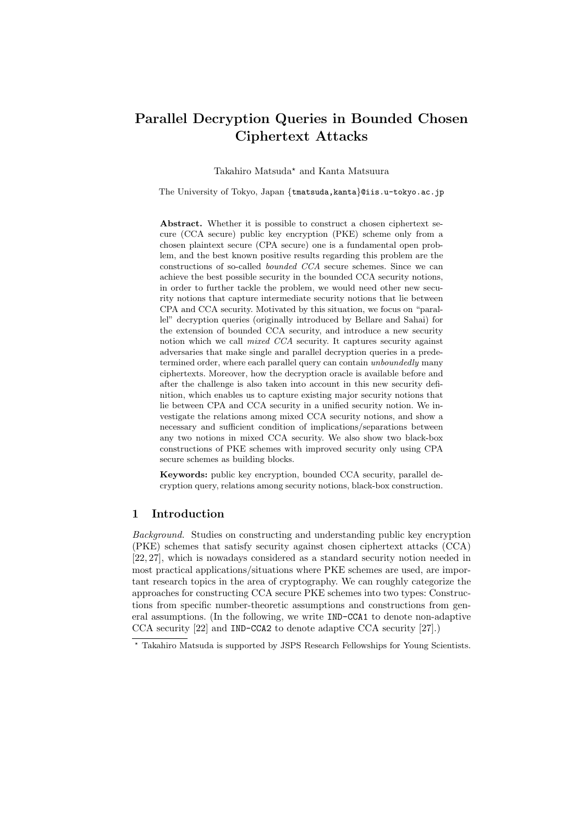# **Parallel Decryption Queries in Bounded Chosen Ciphertext Attacks**

Takahiro Matsuda*<sup>⋆</sup>* and Kanta Matsuura

The University of Tokyo, Japan *{*tmatsuda,kanta*}*@iis.u-tokyo.ac.jp

**Abstract.** Whether it is possible to construct a chosen ciphertext secure (CCA secure) public key encryption (PKE) scheme only from a chosen plaintext secure (CPA secure) one is a fundamental open problem, and the best known positive results regarding this problem are the constructions of so-called *bounded CCA* secure schemes. Since we can achieve the best possible security in the bounded CCA security notions, in order to further tackle the problem, we would need other new security notions that capture intermediate security notions that lie between CPA and CCA security. Motivated by this situation, we focus on "parallel" decryption queries (originally introduced by Bellare and Sahai) for the extension of bounded CCA security, and introduce a new security notion which we call *mixed CCA* security. It captures security against adversaries that make single and parallel decryption queries in a predetermined order, where each parallel query can contain *unboundedly* many ciphertexts. Moreover, how the decryption oracle is available before and after the challenge is also taken into account in this new security definition, which enables us to capture existing major security notions that lie between CPA and CCA security in a unified security notion. We investigate the relations among mixed CCA security notions, and show a necessary and sufficient condition of implications/separations between any two notions in mixed CCA security. We also show two black-box constructions of PKE schemes with improved security only using CPA secure schemes as building blocks.

**Keywords:** public key encryption, bounded CCA security, parallel decryption query, relations among security notions, black-box construction.

# **1 Introduction**

*Background.* Studies on constructing and understanding public key encryption (PKE) schemes that satisfy security against chosen ciphertext attacks (CCA) [22, 27], which is nowadays considered as a standard security notion needed in most practical applications/situations where PKE schemes are used, are important research topics in the area of cryptography. We can roughly categorize the approaches for constructing CCA secure PKE schemes into two types: Constructions from specific number-theoretic assumptions and constructions from general assumptions. (In the following, we write IND-CCA1 to denote non-adaptive CCA security [22] and IND-CCA2 to denote adaptive CCA security [27].)

*<sup>⋆</sup>* Takahiro Matsuda is supported by JSPS Research Fellowships for Young Scientists.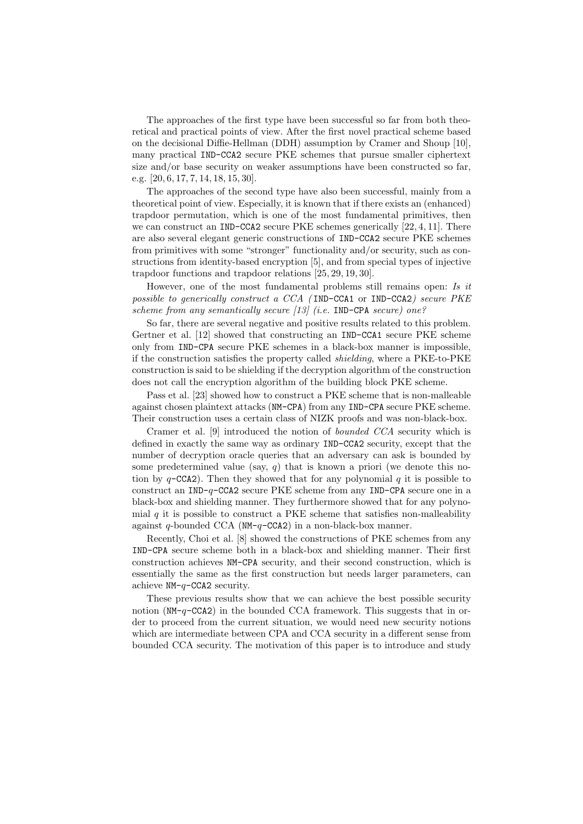The approaches of the first type have been successful so far from both theoretical and practical points of view. After the first novel practical scheme based on the decisional Diffie-Hellman (DDH) assumption by Cramer and Shoup [10], many practical IND-CCA2 secure PKE schemes that pursue smaller ciphertext size and/or base security on weaker assumptions have been constructed so far, e.g. [20, 6, 17, 7, 14, 18, 15, 30].

The approaches of the second type have also been successful, mainly from a theoretical point of view. Especially, it is known that if there exists an (enhanced) trapdoor permutation, which is one of the most fundamental primitives, then we can construct an IND-CCA2 secure PKE schemes generically [22, 4, 11]. There are also several elegant generic constructions of IND-CCA2 secure PKE schemes from primitives with some "stronger" functionality and/or security, such as constructions from identity-based encryption [5], and from special types of injective trapdoor functions and trapdoor relations [25, 29, 19, 30].

However, one of the most fundamental problems still remains open: *Is it possible to generically construct a CCA (* IND-CCA1 or IND-CCA2*) secure PKE scheme from any semantically secure [13] (i.e.* IND-CPA *secure) one?*

So far, there are several negative and positive results related to this problem. Gertner et al. [12] showed that constructing an IND-CCA1 secure PKE scheme only from IND-CPA secure PKE schemes in a black-box manner is impossible, if the construction satisfies the property called *shielding*, where a PKE-to-PKE construction is said to be shielding if the decryption algorithm of the construction does not call the encryption algorithm of the building block PKE scheme.

Pass et al. [23] showed how to construct a PKE scheme that is non-malleable against chosen plaintext attacks (NM-CPA) from any IND-CPA secure PKE scheme. Their construction uses a certain class of NIZK proofs and was non-black-box.

Cramer et al. [9] introduced the notion of *bounded CCA* security which is defined in exactly the same way as ordinary IND-CCA2 security, except that the number of decryption oracle queries that an adversary can ask is bounded by some predetermined value (say,  $q$ ) that is known a priori (we denote this notion by  $q$ -CCA2). Then they showed that for any polynomial  $q$  it is possible to construct an IND-*q*-CCA2 secure PKE scheme from any IND-CPA secure one in a black-box and shielding manner. They furthermore showed that for any polynomial  $q$  it is possible to construct a PKE scheme that satisfies non-malleability against *q*-bounded CCA (NM-*q*-CCA2) in a non-black-box manner.

Recently, Choi et al. [8] showed the constructions of PKE schemes from any IND-CPA secure scheme both in a black-box and shielding manner. Their first construction achieves NM-CPA security, and their second construction, which is essentially the same as the first construction but needs larger parameters, can achieve NM-*q*-CCA2 security.

These previous results show that we can achieve the best possible security notion (NM-*q*-CCA2) in the bounded CCA framework. This suggests that in order to proceed from the current situation, we would need new security notions which are intermediate between CPA and CCA security in a different sense from bounded CCA security. The motivation of this paper is to introduce and study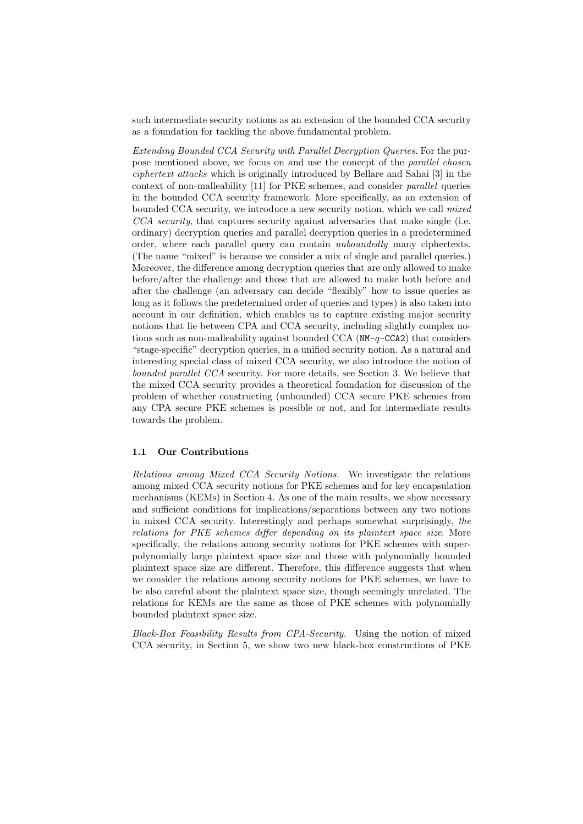such intermediate security notions as an extension of the bounded CCA security as a foundation for tackling the above fundamental problem.

*Extending Bounded CCA Security with Parallel Decryption Queries.* For the purpose mentioned above, we focus on and use the concept of the *parallel chosen ciphertext attacks* which is originally introduced by Bellare and Sahai [3] in the context of non-malleability [11] for PKE schemes, and consider *parallel* queries in the bounded CCA security framework. More specifically, as an extension of bounded CCA security, we introduce a new security notion, which we call *mixed CCA security*, that captures security against adversaries that make single (i.e. ordinary) decryption queries and parallel decryption queries in a predetermined order, where each parallel query can contain *unboundedly* many ciphertexts. (The name "mixed" is because we consider a mix of single and parallel queries.) Moreover, the difference among decryption queries that are only allowed to make before/after the challenge and those that are allowed to make both before and after the challenge (an adversary can decide "flexibly" how to issue queries as long as it follows the predetermined order of queries and types) is also taken into account in our definition, which enables us to capture existing major security notions that lie between CPA and CCA security, including slightly complex notions such as non-malleability against bounded CCA (NM-*q*-CCA2) that considers "stage-specific" decryption queries, in a unified security notion. As a natural and interesting special class of mixed CCA security, we also introduce the notion of *bounded parallel CCA* security. For more details, see Section 3. We believe that the mixed CCA security provides a theoretical foundation for discussion of the problem of whether constructing (unbounded) CCA secure PKE schemes from any CPA secure PKE schemes is possible or not, and for intermediate results towards the problem.

### **1.1 Our Contributions**

*Relations among Mixed CCA Security Notions.* We investigate the relations among mixed CCA security notions for PKE schemes and for key encapsulation mechanisms (KEMs) in Section 4. As one of the main results, we show necessary and sufficient conditions for implications/separations between any two notions in mixed CCA security. Interestingly and perhaps somewhat surprisingly, *the relations for PKE schemes differ depending on its plaintext space size*. More specifically, the relations among security notions for PKE schemes with superpolynomially large plaintext space size and those with polynomially bounded plaintext space size are different. Therefore, this difference suggests that when we consider the relations among security notions for PKE schemes, we have to be also careful about the plaintext space size, though seemingly unrelated. The relations for KEMs are the same as those of PKE schemes with polynomially bounded plaintext space size.

*Black-Box Feasibility Results from CPA-Security.* Using the notion of mixed CCA security, in Section 5, we show two new black-box constructions of PKE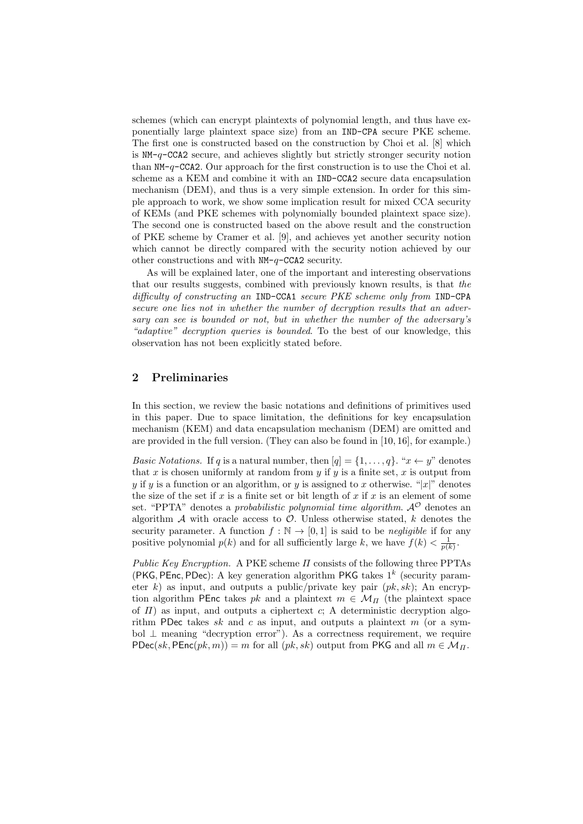schemes (which can encrypt plaintexts of polynomial length, and thus have exponentially large plaintext space size) from an IND-CPA secure PKE scheme. The first one is constructed based on the construction by Choi et al. [8] which is NM-*q*-CCA2 secure, and achieves slightly but strictly stronger security notion than  $NM-q$ -CCA2. Our approach for the first construction is to use the Choi et al. scheme as a KEM and combine it with an IND-CCA2 secure data encapsulation mechanism (DEM), and thus is a very simple extension. In order for this simple approach to work, we show some implication result for mixed CCA security of KEMs (and PKE schemes with polynomially bounded plaintext space size). The second one is constructed based on the above result and the construction of PKE scheme by Cramer et al. [9], and achieves yet another security notion which cannot be directly compared with the security notion achieved by our other constructions and with NM-*q*-CCA2 security.

As will be explained later, one of the important and interesting observations that our results suggests, combined with previously known results, is that *the difficulty of constructing an* IND-CCA1 *secure PKE scheme only from* IND-CPA *secure one lies not in whether the number of decryption results that an adversary can see is bounded or not, but in whether the number of the adversary's "adaptive" decryption queries is bounded*. To the best of our knowledge, this observation has not been explicitly stated before.

# **2 Preliminaries**

In this section, we review the basic notations and definitions of primitives used in this paper. Due to space limitation, the definitions for key encapsulation mechanism (KEM) and data encapsulation mechanism (DEM) are omitted and are provided in the full version. (They can also be found in [10, 16], for example.)

*Basic Notations.* If *q* is a natural number, then  $[q] = \{1, \ldots, q\}$ . " $x \leftarrow y$ " denotes that  $x$  is chosen uniformly at random from  $y$  if  $y$  is a finite set,  $x$  is output from *y* if *y* is a function or an algorithm, or *y* is assigned to *x* otherwise. " $|x|$ " denotes the size of the set if  $x$  is a finite set or bit length of  $x$  if  $x$  is an element of some set. "PPTA" denotes a *probabilistic polynomial time algorithm*. *A<sup>O</sup>* denotes an algorithm  $A$  with oracle access to  $O$ . Unless otherwise stated,  $k$  denotes the security parameter. A function  $f : \mathbb{N} \to [0,1]$  is said to be *negligible* if for any positive polynomial  $p(k)$  and for all sufficiently large k, we have  $f(k) < \frac{1}{p(k)}$ .

*Public Key Encryption.* A PKE scheme *Π* consists of the following three PPTAs (PKG*,* PEnc*,* PDec): A key generation algorithm PKG takes 1*<sup>k</sup>* (security parameter *k*) as input, and outputs a public/private key pair  $(pk, sk)$ ; An encryption algorithm PEnc takes *pk* and a plaintext  $m \in \mathcal{M}_{\Pi}$  (the plaintext space of *Π*) as input, and outputs a ciphertext *c*; A deterministic decryption algorithm PDec takes *sk* and *c* as input, and outputs a plaintext *m* (or a symbol *⊥* meaning "decryption error"). As a correctness requirement, we require  $PDec(sk, PEnc(pk, m)) = m$  for all  $(pk, sk)$  output from PKG and all  $m \in \mathcal{M}_H$ .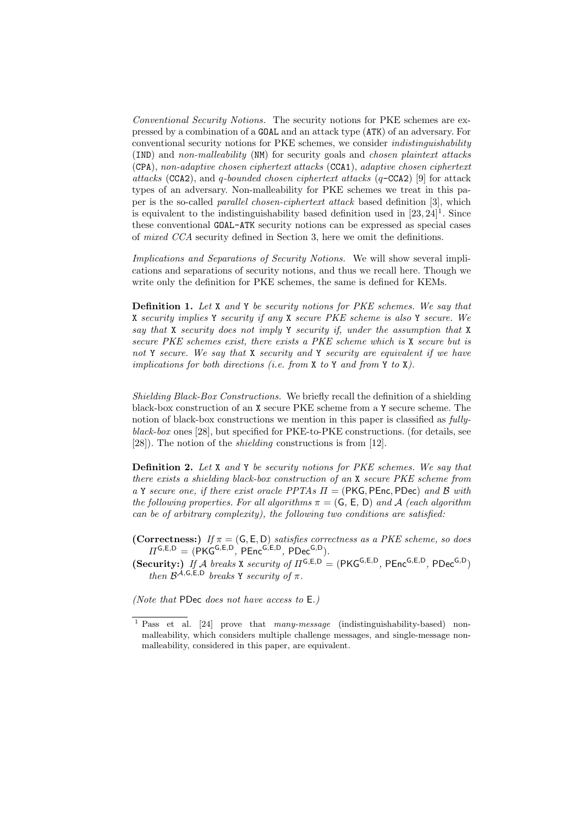*Conventional Security Notions.* The security notions for PKE schemes are expressed by a combination of a GOAL and an attack type (ATK) of an adversary. For conventional security notions for PKE schemes, we consider *indistinguishability* (IND) and *non-malleability* (NM) for security goals and *chosen plaintext attacks* (CPA), *non-adaptive chosen ciphertext attacks* (CCA1), *adaptive chosen ciphertext attacks* (CCA2), and *q-bounded chosen ciphertext attacks* (*q*-CCA2) [9] for attack types of an adversary. Non-malleability for PKE schemes we treat in this paper is the so-called *parallel chosen-ciphertext attack* based definition [3], which is equivalent to the indistinguishability based definition used in  $[23, 24]$ <sup>1</sup>. Since these conventional GOAL-ATK security notions can be expressed as special cases of *mixed CCA* security defined in Section 3, here we omit the definitions.

*Implications and Separations of Security Notions.* We will show several implications and separations of security notions, and thus we recall here. Though we write only the definition for PKE schemes, the same is defined for KEMs.

**Definition 1.** *Let* X *and* Y *be security notions for PKE schemes. We say that* X *security implies* Y *security if any* X *secure PKE scheme is also* Y *secure. We say that* X *security does not imply* Y *security if, under the assumption that* X *secure PKE schemes exist, there exists a PKE scheme which is* X *secure but is not* Y *secure. We say that* X *security and* Y *security are equivalent if we have implications for both directions (i.e. from* X *to* Y *and from* Y *to* X*).*

*Shielding Black-Box Constructions.* We briefly recall the definition of a shielding black-box construction of an X secure PKE scheme from a Y secure scheme. The notion of black-box constructions we mention in this paper is classified as *fullyblack-box* ones [28], but specified for PKE-to-PKE constructions. (for details, see [28]). The notion of the *shielding* constructions is from [12].

**Definition 2.** *Let* X *and* Y *be security notions for PKE schemes. We say that there exists a shielding black-box construction of an* X *secure PKE scheme from a* Y *secure one, if there exist oracle PPTAs Π* = (PKG*,* PEnc*,* PDec) *and B with the following properties. For all algorithms*  $\pi = (G, E, D)$  *and*  $A$  *(each algorithm*) *can be of arbitrary complexity), the following two conditions are satisfied:*

**(Correctness:)** *If π* = (G*,* E*,* D) *satisfies correctness as a PKE scheme, so does*  $\Pi^{\mathsf{G},\mathsf{E},\mathsf{D}} = (\mathsf{PKG}^{\mathsf{G},\mathsf{E},\mathsf{D}}, \mathsf{PEnc}^{\mathsf{G},\mathsf{E},\mathsf{D}}, \mathsf{PDec}^{\mathsf{G},\mathsf{D}}).$ 

 $(\textbf{Security:})$  *If A breaks* X *security of*  $\Pi^{\mathsf{G},\mathsf{E},\mathsf{D}} = (\textsf{PKG}^{\mathsf{G},\mathsf{E},\mathsf{D}}, \textsf{PEnc}^{\mathsf{G},\mathsf{E},\mathsf{D}}, \textsf{PDec}^{\mathsf{G},\mathsf{D}})$ *then*  $\mathcal{B}^{\mathcal{A},\mathsf{G},\mathsf{E},\mathsf{D}}$  *breaks* **Y** *security of*  $\pi$ *.* 

*(Note that* PDec *does not have access to* E*.)*

<sup>1</sup> Pass et al. [24] prove that *many-message* (indistinguishability-based) nonmalleability, which considers multiple challenge messages, and single-message nonmalleability, considered in this paper, are equivalent.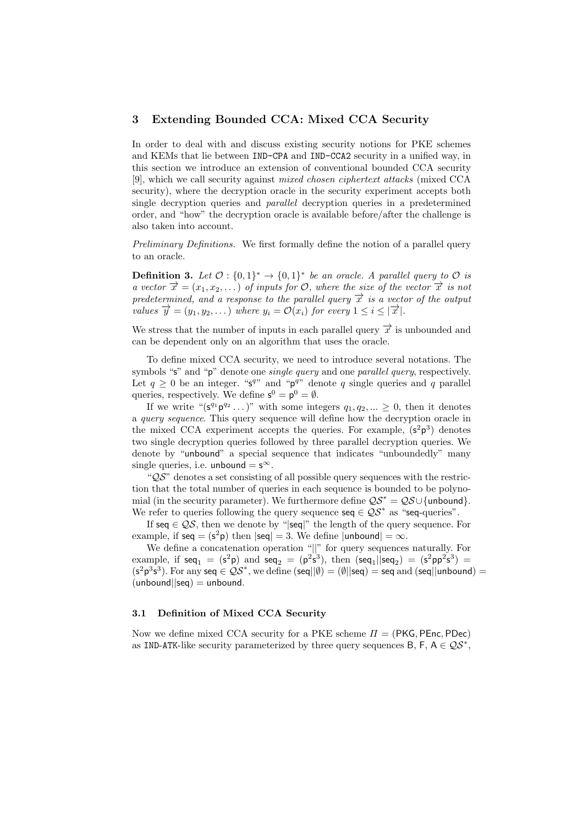## **3 Extending Bounded CCA: Mixed CCA Security**

In order to deal with and discuss existing security notions for PKE schemes and KEMs that lie between IND-CPA and IND-CCA2 security in a unified way, in this section we introduce an extension of conventional bounded CCA security [9], which we call security against *mixed chosen ciphertext attacks* (mixed CCA security), where the decryption oracle in the security experiment accepts both single decryption queries and *parallel* decryption queries in a predetermined order, and "how" the decryption oracle is available before/after the challenge is also taken into account.

*Preliminary Definitions.* We first formally define the notion of a parallel query to an oracle.

**Definition 3.** Let  $\mathcal{O}: \{0,1\}^* \to \{0,1\}^*$  be an oracle. A parallel query to  $\mathcal{O}$  is *a* vector  $\overrightarrow{x}$  = (*x*<sub>1</sub>*, x*<sub>2</sub>*, ...*) *of inputs for O, where the size of the vector*  $\overrightarrow{x}$  *is not predetermined, and a response to the parallel query*  $\vec{x}$  *is a vector of the output values*  $\overrightarrow{y} = (y_1, y_2, \dots)$  *where*  $y_i = \mathcal{O}(x_i)$  *for every*  $1 \leq i \leq |\overrightarrow{x}|$ *.* 

We stress that the number of inputs in each parallel query  $\vec{x}$  is unbounded and can be dependent only on an algorithm that uses the oracle.

To define mixed CCA security, we need to introduce several notations. The symbols "s" and "p" denote one *single query* and one *parallel query*, respectively. Let  $q \geq 0$  be an integer. " $s^{q}$ " and " $p^{q}$ " denote q single queries and q parallel queries, respectively. We define  $s^0 = p^0 = \emptyset$ .

If we write " $(\mathbf{s}^{q_1} \mathbf{p}^{q_2} \dots)$ " with some integers  $q_1, q_2, \dots \geq 0$ , then it denotes a *query sequence*. This query sequence will define how the decryption oracle in the mixed CCA experiment accepts the queries. For example,  $(s^2p^3)$  denotes two single decryption queries followed by three parallel decryption queries. We denote by "unbound" a special sequence that indicates "unboundedly" many single queries, i.e. unbound =  $s^{\infty}$ .

"*QS*" denotes a set consisting of all possible query sequences with the restriction that the total number of queries in each sequence is bounded to be polynomial (in the security parameter). We furthermore define *QS<sup>∗</sup>* = *QS ∪{*unbound*}*. We refer to queries following the query sequence  $\text{seq} \in \mathcal{QS}^*$  as "seq-queries".

If seq *∈ QS*, then we denote by "*|*seq*|*" the length of the query sequence. For example, if  $\text{seq} = (\mathsf{s}^2 \mathsf{p})$  then  $|\text{seq}| = 3$ . We define  $|\text{unbound}| = \infty$ .

We define a concatenation operation "*||*" for query sequences naturally. For example, if  $\textsf{seq}_1 = (\textsf{s}^2 \textsf{p})$  and  $\textsf{seq}_2 = (\textsf{p}^2 \textsf{s}^3)$ , then  $(\textsf{seq}_1 || \textsf{seq}_2) = (\textsf{s}^2 \textsf{pp}^2 \textsf{s}^3) =$  $(s^2p^3s^3)$ . For any seq  $\in \mathcal{QS}^*$ , we define  $(seq||\emptyset) = (\emptyset||seq) = seq$  and  $(seq||unbound) =$ (unbound*||*seq) = unbound.

#### **3.1 Definition of Mixed CCA Security**

Now we define mixed CCA security for a PKE scheme *Π* = (PKG*,* PEnc*,* PDec) as IND-ATK-like security parameterized by three query sequences B, F,  $A \in \mathcal{QS}^*$ ,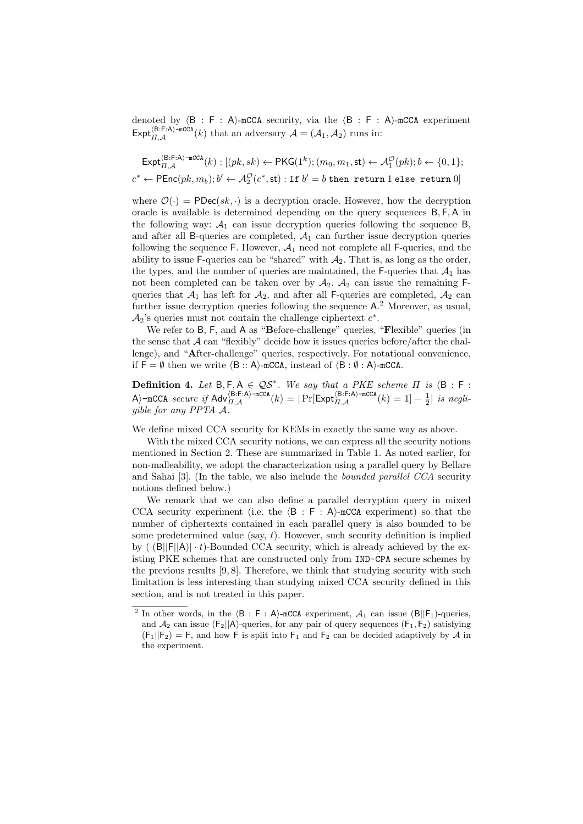denoted by *⟨*B : F : A*⟩*-mCCA security, via the *⟨*B : F : A*⟩*-mCCA experiment  $\textsf{Expt}_{II,A}^{\textsf{(B:F:A)}}$ <sup>-mCCA</sup>(*k*) that an adversary  $\mathcal{A} = (\mathcal{A}_1, \mathcal{A}_2)$  runs in:

$$
\mathsf{Expt}_{\Pi,\mathcal{A}}^{\langle\mathsf{B}:\mathsf{F}:\mathsf{A}\rangle-\mathsf{mCCA}}(k):[(pk, sk) \leftarrow \mathsf{PKG}(1^k); (m_0, m_1, \mathsf{st}) \leftarrow \mathcal{A}_1^{\mathcal{O}}(pk); b \leftarrow \{0, 1\};
$$
  

$$
c^* \leftarrow \mathsf{PEnc}(pk, m_b); b' \leftarrow \mathcal{A}_2^{\mathcal{O}}(c^*, \mathsf{st}) : \mathsf{If} \ b' = b \text{ then return 1 else return 0}]
$$

where  $\mathcal{O}(\cdot) = \text{PDec}(sk, \cdot)$  is a decryption oracle. However, how the decryption oracle is available is determined depending on the query sequences B*,* F*,* A in the following way:  $A_1$  can issue decryption queries following the sequence B, and after all B-queries are completed,  $A_1$  can further issue decryption queries following the sequence  $F$ . However,  $A_1$  need not complete all  $F$ -queries, and the ability to issue  $\mathsf{F}\text{-}$ queries can be "shared" with  $\mathcal{A}_2$ . That is, as long as the order, the types, and the number of queries are maintained, the  $\mathsf{F}\text{-}$ queries that  $\mathcal{A}_1$  has not been completed can be taken over by  $A_2$ .  $A_2$  can issue the remaining  $F$ queries that  $A_1$  has left for  $A_2$ , and after all F-queries are completed,  $A_2$  can further issue decryption queries following the sequence  $A<sup>2</sup>$  Moreover, as usual,  $A_2$ 's queries must not contain the challenge ciphertext  $c^*$ .

We refer to B, F, and A as "**B**efore-challenge" queries, "**F**lexible" queries (in the sense that  $A$  can "flexibly" decide how it issues queries before/after the challenge), and "**A**fter-challenge" queries, respectively. For notational convenience, if  $F = \emptyset$  then we write  $\langle B : A \rangle$ -mCCA, instead of  $\langle B : \emptyset : A \rangle$ -mCCA.

**Definition 4.** Let  $B, F, A \in \mathcal{QS}^*$ . We say that a PKE scheme  $\Pi$  is  $\langle B : F : G \rangle$  $A$  $\rangle$ -mCCA *secure if*  $Adv_{\Pi,A}^{(B:F:A)-mCCA}(k) = |\Pr[\text{Expt}_{\Pi,A}^{(B:F:A)-mCCA}(k) = 1] - \frac{1}{2}|$  *is negligible for any PPTA A.*

We define mixed CCA security for KEMs in exactly the same way as above.

With the mixed CCA security notions, we can express all the security notions mentioned in Section 2. These are summarized in Table 1. As noted earlier, for non-malleability, we adopt the characterization using a parallel query by Bellare and Sahai [3]. (In the table, we also include the *bounded parallel CCA* security notions defined below.)

We remark that we can also define a parallel decryption query in mixed CCA security experiment (i.e. the *⟨*B : F : A*⟩*-mCCA experiment) so that the number of ciphertexts contained in each parallel query is also bounded to be some predetermined value (say, *t*). However, such security definition is implied by  $(|(B||F||A)| \cdot t)$ -Bounded CCA security, which is already achieved by the existing PKE schemes that are constructed only from IND-CPA secure schemes by the previous results [9, 8]. Therefore, we think that studying security with such limitation is less interesting than studying mixed CCA security defined in this section, and is not treated in this paper.

<sup>&</sup>lt;sup>2</sup> In other words, in the *(*B : F : A)-mCCA experiment,  $A_1$  can issue (B||F<sub>1</sub>)-queries, and  $A_2$  can issue  $(F_2||A)$ -queries, for any pair of query sequences  $(F_1, F_2)$  satisfying  $(F_1||F_2) = F$ , and how F is split into  $F_1$  and  $F_2$  can be decided adaptively by A in the experiment.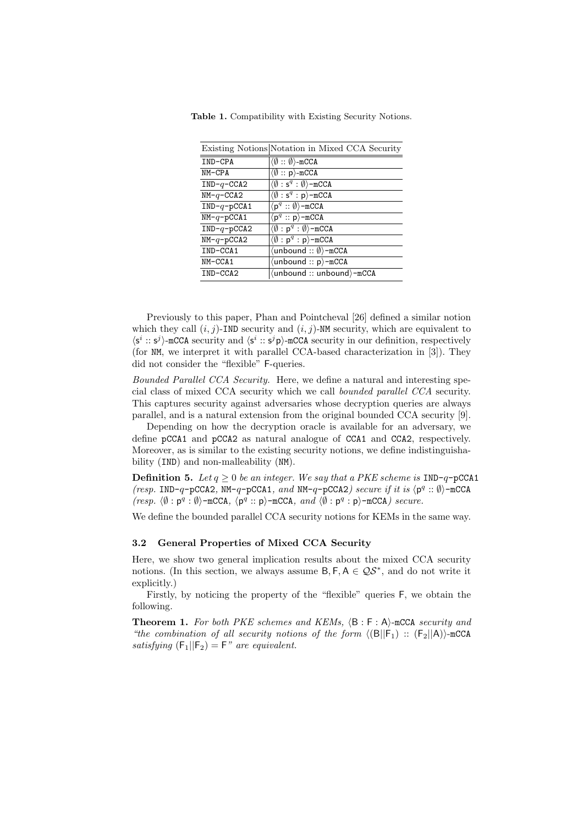|               | Existing Notions Notation in Mixed CCA Security               |
|---------------|---------------------------------------------------------------|
| IND-CPA       | $\langle \emptyset : : \emptyset \rangle$ -mCCA               |
| NM-CPA        | $\langle \emptyset : : \mathsf{p} \rangle$ -mCCA              |
| $IND-q-CCA2$  | $\langle \emptyset : s^q : \emptyset \rangle$ -mCCA           |
| $NM-q-CCA2$   | $\langle \emptyset : s^q : p \rangle$ -mCCA                   |
| $IND-q-pCCA1$ | $\langle p^q : : \emptyset \rangle$ -mCCA                     |
| $NM-q-pCCA1$  | $\overline{\langle p^q : p \rangle}$ -mCCA                    |
| $IND-q-pCCA2$ | $\langle \emptyset : \mathsf{p}^q : \emptyset \rangle$ -mCCA  |
| $NM-q-pCCA2$  | $\langle \emptyset : \mathsf{p}^q : \mathsf{p} \rangle$ -mCCA |
| IND-CCA1      | $\overline{\langle$ unbound :: Ø $\rangle$ -mCCA              |
| NM-CCA1       | $\langle$ unbound :: p $\rangle$ -mCCA                        |
| IND-CCA2      | $\langle$ unbound :: unbound $\rangle$ -mCCA                  |

**Table 1.** Compatibility with Existing Security Notions.

Previously to this paper, Phan and Pointcheval [26] defined a similar notion which they call  $(i, j)$ -IND security and  $(i, j)$ -NM security, which are equivalent to  $\langle s^i : s^j \rangle$ -mCCA security and  $\langle s^i : s^j p \rangle$ -mCCA security in our definition, respectively (for NM, we interpret it with parallel CCA-based characterization in [3]). They did not consider the "flexible" F-queries.

*Bounded Parallel CCA Security.* Here, we define a natural and interesting special class of mixed CCA security which we call *bounded parallel CCA* security. This captures security against adversaries whose decryption queries are always parallel, and is a natural extension from the original bounded CCA security [9].

Depending on how the decryption oracle is available for an adversary, we define pCCA1 and pCCA2 as natural analogue of CCA1 and CCA2, respectively. Moreover, as is similar to the existing security notions, we define indistinguishability (IND) and non-malleability (NM).

**Definition 5.** *Let*  $q > 0$  *be an integer. We say that a PKE scheme is* IND- $q$ -pCCA1 *(resp.* IND-*q*-pCCA2*,* NM-*q*-pCCA1*, and* NM-*q*-pCCA2*) secure if it is ⟨*p *q* :: *∅⟩*-mCCA  $(resp. \langle \emptyset : p^q : \emptyset \rangle$ -mCCA,  $\langle p^q : p \rangle$ -mCCA, and  $\langle \emptyset : p^q : p \rangle$ -mCCA) secure.

We define the bounded parallel CCA security notions for KEMs in the same way.

### **3.2 General Properties of Mixed CCA Security**

Here, we show two general implication results about the mixed CCA security notions. (In this section, we always assume  $B, F, A \in \mathcal{QS}^*$ , and do not write it explicitly.)

Firstly, by noticing the property of the "flexible" queries F, we obtain the following.

**Theorem 1.** *For both PKE schemes and KEMs, ⟨*B : F : A*⟩*-mCCA *security and "the combination of all security notions of the form*  $\langle (B||F_1) : : (F_2||A) \rangle$ -mCCA *satisfying*  $(F_1||F_2) = F''$  *are equivalent.*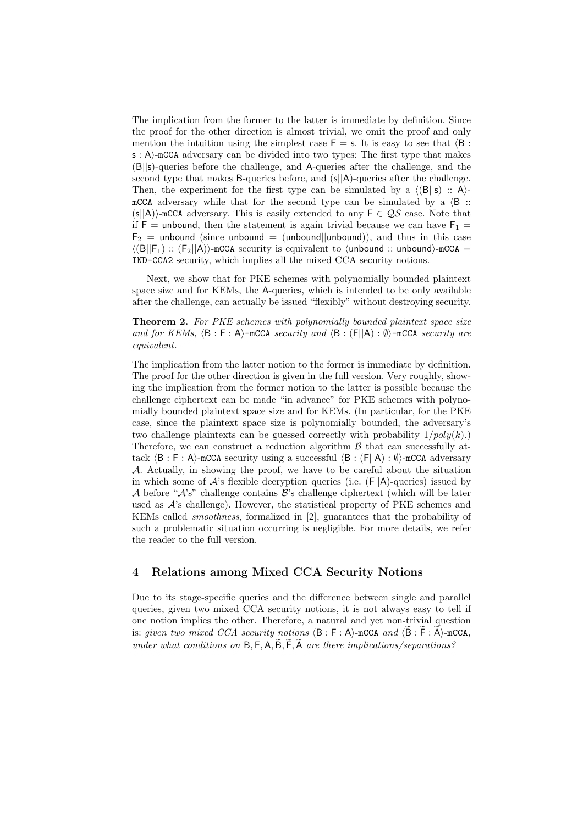The implication from the former to the latter is immediate by definition. Since the proof for the other direction is almost trivial, we omit the proof and only mention the intuition using the simplest case  $F = s$ . It is easy to see that  $\langle B :$ s : A)-mCCA adversary can be divided into two types: The first type that makes (B*||*s)-queries before the challenge, and A-queries after the challenge, and the second type that makes B-queries before, and (s*||*A)-queries after the challenge. Then, the experiment for the first type can be simulated by a *⟨*(B*||*s) :: A*⟩* mCCA adversary while that for the second type can be simulated by a *⟨*B ::  $(s||A)$ <sup> $\text{ImCCA}$ </sup> adversary. This is easily extended to any  $F \in \mathcal{QS}$  case. Note that if  $F =$  unbound, then the statement is again trivial because we can have  $F_1 =$  $F_2$  = unbound (since unbound = (unbound)|unbound)), and thus in this case *⟨*(B*||*F1) :: (F2*||*A)*⟩*-mCCA security is equivalent to *⟨*unbound :: unbound*⟩*-mCCA = IND-CCA2 security, which implies all the mixed CCA security notions.

Next, we show that for PKE schemes with polynomially bounded plaintext space size and for KEMs, the A-queries, which is intended to be only available after the challenge, can actually be issued "flexibly" without destroying security.

**Theorem 2.** *For PKE schemes with polynomially bounded plaintext space size and for KEMs, ⟨*B : F : A*⟩*-mCCA *security and ⟨*B : (F*||*A) : *∅⟩*-mCCA *security are equivalent.*

The implication from the latter notion to the former is immediate by definition. The proof for the other direction is given in the full version. Very roughly, showing the implication from the former notion to the latter is possible because the challenge ciphertext can be made "in advance" for PKE schemes with polynomially bounded plaintext space size and for KEMs. (In particular, for the PKE case, since the plaintext space size is polynomially bounded, the adversary's two challenge plaintexts can be guessed correctly with probability 1*/poly*(*k*).) Therefore, we can construct a reduction algorithm *B* that can successfully attack *⟨*B : F : A*⟩*-mCCA security using a successful *⟨*B : (F*||*A) : *∅⟩*-mCCA adversary *A*. Actually, in showing the proof, we have to be careful about the situation in which some of *A*'s flexible decryption queries (i.e. (F*||*A)-queries) issued by *A* before "*A*'s" challenge contains *B*'s challenge ciphertext (which will be later used as  $A$ 's challenge). However, the statistical property of PKE schemes and KEMs called *smoothness*, formalized in [2], guarantees that the probability of such a problematic situation occurring is negligible. For more details, we refer the reader to the full version.

# **4 Relations among Mixed CCA Security Notions**

Due to its stage-specific queries and the difference between single and parallel queries, given two mixed CCA security notions, it is not always easy to tell if one notion implies the other. Therefore, a natural and yet non-trivial question is: *given two mixed CCA security notions*  $\langle B : F : A \rangle$ -mCCA *and*  $\langle B : F : A \rangle$ -mCCA, *under what conditions on*  $B$ ,  $F$ ,  $A$ ,  $\widetilde{B}$ ,  $\widetilde{F}$ ,  $\widetilde{A}$  *are there implications/separations?*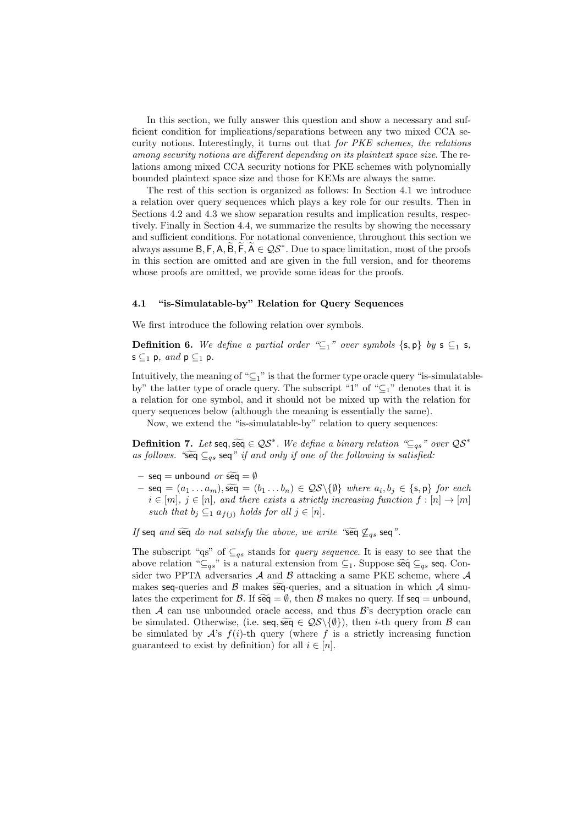In this section, we fully answer this question and show a necessary and sufficient condition for implications/separations between any two mixed CCA security notions. Interestingly, it turns out that *for PKE schemes, the relations among security notions are different depending on its plaintext space size*. The relations among mixed CCA security notions for PKE schemes with polynomially bounded plaintext space size and those for KEMs are always the same.

The rest of this section is organized as follows: In Section 4.1 we introduce a relation over query sequences which plays a key role for our results. Then in Sections 4.2 and 4.3 we show separation results and implication results, respectively. Finally in Section 4.4, we summarize the results by showing the necessary and sufficient conditions. For notational convenience, throughout this section we always assume  $B, F, A, B, F, A \in \mathcal{QS}^*$ . Due to space limitation, most of the proofs in this section are omitted and are given in the full version, and for theorems whose proofs are omitted, we provide some ideas for the proofs.

#### **4.1 "is-Simulatable-by" Relation for Query Sequences**

We first introduce the following relation over symbols.

**Definition 6.** We define a partial order " $\subseteq_1$ " over symbols  $\{s, p\}$  by  $s \subseteq_1 s$ ,  $s \subseteq_1 p$ *, and*  $p \subseteq_1 p$ *.* 

Intuitively, the meaning of "*⊆*1" is that the former type oracle query "is-simulatableby" the latter type of oracle query. The subscript "1" of "*⊆*1" denotes that it is a relation for one symbol, and it should not be mixed up with the relation for query sequences below (although the meaning is essentially the same).

Now, we extend the "is-simulatable-by" relation to query sequences:

**Definition 7.** Let seq, seq ∈ QS<sup>*∗*</sup>. We define a binary relation "⊆<sub>qs</sub>" over QS<sup>\*</sup> as follows. " $\widetilde{\epsilon}$  $\in$   $\zeta$ <sub>qs</sub> seq" if and only if one of the following is satisfied:

- $-$  seq = unbound *or* seq =  $\emptyset$
- $\mathcal{L} = \mathsf{seq} = (a_1 \dots a_m), \widetilde{\mathsf{seq}} = (b_1 \dots b_n) \in \mathcal{QS} \setminus \{\emptyset\}$  *where*  $a_i, b_j \in \{\mathsf{s}, \mathsf{p}\}$  *for each*  $\mathcal{L} = \{a_1, a_2, \dots, a_m\}$  $i \in [m], j \in [n]$ , and there exists a strictly increasing function  $f : [n] \to [m]$ *such that*  $b_j \subseteq a_{f(j)}$  *holds for all*  $j \in [n]$ *.*

*If* seq and  $\widetilde{\text{seq}}$  *do not satisfy the above, we write "* $\widetilde{\text{seq}}$   $\mathcal{Z}_{qs}$  seq".

The subscript "qs" of *⊆qs* stands for *query sequence*. It is easy to see that the above relation " $\subseteq_{qs}$ " is a natural extension from  $\subseteq_1$ . Suppose seq  $\subseteq_{qs}$  seq. Consider two PPTA adversaries *A* and *B* attacking a same PKE scheme, where *A* makes seq-queries and *B* makes seq-queries, and a situation in which  $\mathcal A$  simulates the experiment for *B*. If  $\widetilde{\epsilon e}$  =  $\emptyset$ , then *B* makes no query. If seq = unbound, then  $A$  can use unbounded oracle access, and thus  $B$ 's decryption oracle can be simulated. Otherwise, (i.e. seq,  $\widetilde{\text{seq}} \in \mathcal{QS}\backslash\{\emptyset\}$ ), then *i*-th query from *B* can be simulated by  $\mathcal{A}$ 's  $f(i)$ -th query (where f is a strictly increasing function guaranteed to exist by definition) for all  $i \in [n]$ .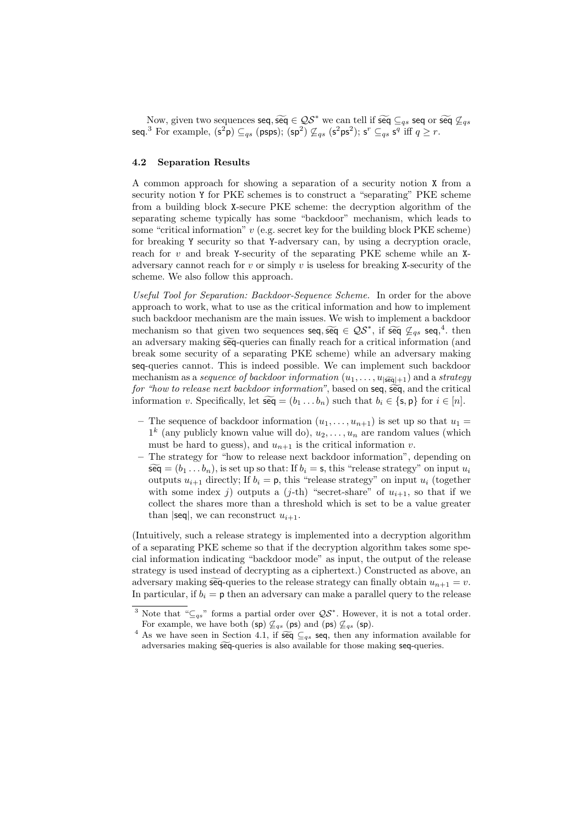Now, given two sequences seq,  $\widetilde{\text{seq}} \in \mathcal{QS}^*$  we can tell if  $\widetilde{\text{seq}} \subseteq_{qs}$  seq or  $\widetilde{\text{seq}} \not\subseteq_{qs}$ seq.<sup>3</sup> For example,  $(s^2p) \subseteq_{qs} (psps)$ ;  $(sp^2) \nsubseteq_{qs} (s^2ps^2)$ ;  $s^r \subseteq_{qs} s^q$  iff  $q \geq r$ .

#### **4.2 Separation Results**

A common approach for showing a separation of a security notion X from a security notion Y for PKE schemes is to construct a "separating" PKE scheme from a building block X-secure PKE scheme: the decryption algorithm of the separating scheme typically has some "backdoor" mechanism, which leads to some "critical information" *v* (e.g. secret key for the building block PKE scheme) for breaking Y security so that Y-adversary can, by using a decryption oracle, reach for *v* and break Y-security of the separating PKE scheme while an Xadversary cannot reach for *v* or simply *v* is useless for breaking X-security of the scheme. We also follow this approach.

*Useful Tool for Separation: Backdoor-Sequence Scheme.* In order for the above approach to work, what to use as the critical information and how to implement such backdoor mechanism are the main issues. We wish to implement a backdoor mechanism so that given two sequences seq,  $\widetilde{\epsilon} \in \mathcal{Q}S^*$ , if  $\widetilde{\epsilon} \widetilde{\epsilon} q \not\subseteq_{qs} \text{seq}, \frac{4}{5}$ , then an adversary making  $s\tilde{eq}$ -queries can finally reach for a critical information (and break some security of a separating PKE scheme) while an adversary making seq-queries cannot. This is indeed possible. We can implement such backdoor mechanism as a *sequence of backdoor information*  $(u_1, \ldots, u_{|\widetilde{\mathsf{seq}}|+1})$  and a *strategy for "how to release next backdoor information"*, based on seq,  $\widetilde{\text{seq}}$ , and the critical information *v*. Specifically, let  $\widetilde{\text{seq}} = (b_1 \dots b_n)$  such that  $b_i \in \{\text{s}, \text{p}\}\$  for  $i \in [n]$ .

- The sequence of backdoor information  $(u_1, \ldots, u_{n+1})$  is set up so that  $u_1 =$  $1^k$  (any publicly known value will do),  $u_2, \ldots, u_n$  are random values (which must be hard to guess), and  $u_{n+1}$  is the critical information *v*.
- **–** The strategy for "how to release next backdoor information", depending on  $\widetilde{\text{seq}} = (b_1 \dots b_n)$ , is set up so that: If  $b_i = \text{s}$ , this "release strategy" on input  $u_i$ outputs  $u_{i+1}$  directly; If  $b_i = \mathsf{p}$ , this "release strategy" on input  $u_i$  (together with some index *j*) outputs a (*j*-th) "secret-share" of  $u_{i+1}$ , so that if we collect the shares more than a threshold which is set to be a value greater than  $|\text{seq}|$ , we can reconstruct  $u_{i+1}$ .

(Intuitively, such a release strategy is implemented into a decryption algorithm of a separating PKE scheme so that if the decryption algorithm takes some special information indicating "backdoor mode" as input, the output of the release strategy is used instead of decrypting as a ciphertext.) Constructed as above, an adversary making  $\widetilde{\epsilon q}$ -queries to the release strategy can finally obtain  $u_{n+1} = v$ . In particular, if  $b_i = \mathbf{p}$  then an adversary can make a parallel query to the release

<sup>3</sup> Note that "*⊆qs*" forms a partial order over *QS<sup>∗</sup>* . However, it is not a total order. For example, we have both (sp)  $\mathcal{Z}_{qs}$  (ps) and (ps)  $\mathcal{Z}_{qs}$  (sp).

<sup>&</sup>lt;sup>4</sup> As we have seen in Section 4.1, if  $\widetilde{\textsf{seq}} \subseteqq q_s$  seq, then any information available for adversaries making  $\widetilde{\mathsf{seq}}$ -queries is also available for those making seq-queries.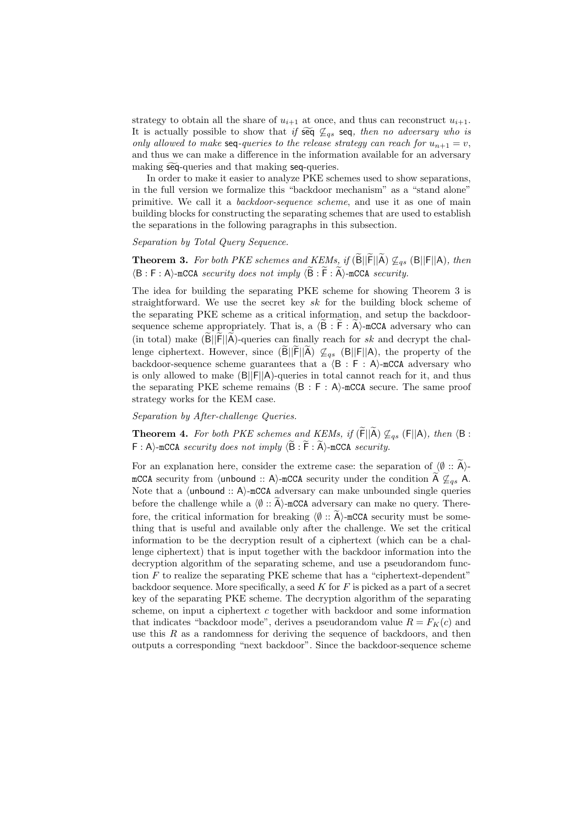strategy to obtain all the share of  $u_{i+1}$  at once, and thus can reconstruct  $u_{i+1}$ . It is actually possible to show that *if*  $\widetilde{\epsilon q} \nsubseteqq g_s$  seq, then no adversary who is *only allowed to make* seq-queries to the release strategy can reach for  $u_{n+1} = v$ , and thus we can make a difference in the information available for an adversary making seq-queries and that making seq-queries.

In order to make it easier to analyze PKE schemes used to show separations, in the full version we formalize this "backdoor mechanism" as a "stand alone" primitive. We call it a *backdoor-sequence scheme*, and use it as one of main building blocks for constructing the separating schemes that are used to establish the separations in the following paragraphs in this subsection.

*Separation by Total Query Sequence.*

**Theorem 3.** For both PKE schemes and  $KEMs$ , if  $(B||F||A) \nsubseteqq_s$   $(B||F||A)$ , then  $\langle$ B : F : A $\rangle$ -mCCA *security does not imply*  $\langle$ B : F : A $\rangle$ -mCCA *security*.

The idea for building the separating PKE scheme for showing Theorem 3 is straightforward. We use the secret key *sk* for the building block scheme of the separating PKE scheme as a critical information, and setup the backdoorsequence scheme appropriately. That is, a  $\langle B : F : A \rangle$ -mCCA adversary who can (in total) make  $(\tilde{\mathsf{B}}||\tilde{\mathsf{F}}||\tilde{\mathsf{A}})$ -queries can finally reach for *sk* and decrypt the challenge ciphertext. However, since  $(\tilde{\mathsf{B}}||\tilde{\mathsf{F}}||\tilde{\mathsf{A}}) \nsubseteq_{qs} (\mathsf{B}||\mathsf{F}||\mathsf{A})$ , the property of the backdoor-sequence scheme guarantees that a  $\overline{\langle B : F : A \rangle}$ -mCCA adversary who is only allowed to make (B*||*F*||*A)-queries in total cannot reach for it, and thus the separating PKE scheme remains *⟨*B : F : A*⟩*-mCCA secure. The same proof strategy works for the KEM case.

*Separation by After-challenge Queries.*

**Theorem 4.** For both PKE schemes and KEMs, if  $(\widetilde{F}||\widetilde{A}) \nsubseteq_{as} (F||A)$ , then  $\langle B :$  $F : A$ )-mCCA *security does not imply*  $\langle \widetilde{B} : \widetilde{F} : \widetilde{A} \rangle$ -mCCA *security.* 

For an explanation here, consider the extreme case: the separation of  $\langle \emptyset : \widetilde{A} \rangle$ mCCA security from  $\langle$ *unbound* :: A $\rangle$ -mCCA security under the condition  $\widetilde{A}$  ⊈<sub>*as*</sub> A. Note that a  $\langle$ unbound :: A $\rangle$ -mCCA adversary can make unbounded single queries before the challenge while a  $\langle \emptyset : \widetilde{A} \rangle$ -mCCA adversary can make no query. Therefore, the critical information for breaking  $\langle ∅$  :: A $\rangle$ -mCCA security must be something that is useful and available only after the challenge. We set the critical information to be the decryption result of a ciphertext (which can be a challenge ciphertext) that is input together with the backdoor information into the decryption algorithm of the separating scheme, and use a pseudorandom function *F* to realize the separating PKE scheme that has a "ciphertext-dependent" backdoor sequence. More specifically, a seed *K* for *F* is picked as a part of a secret key of the separating PKE scheme. The decryption algorithm of the separating scheme, on input a ciphertext *c* together with backdoor and some information that indicates "backdoor mode", derives a pseudorandom value  $R = F_K(c)$  and use this *R* as a randomness for deriving the sequence of backdoors, and then outputs a corresponding "next backdoor". Since the backdoor-sequence scheme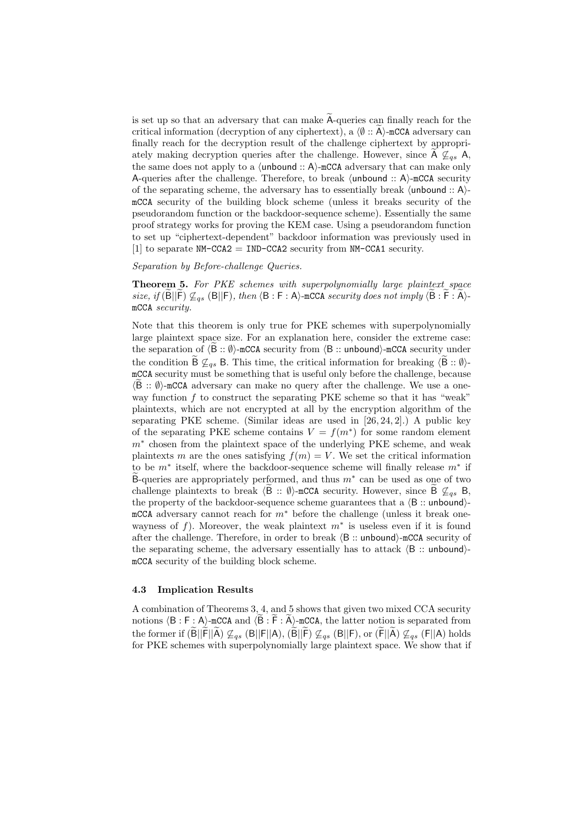is set up so that an adversary that can make A-queries can finally reach for the critical information (decryption of any ciphertext), a  $\langle \emptyset : A \rangle$ -mCCA adversary can finally reach for the decryption result of the challenge ciphertext by appropriately making decryption queries after the challenge. However, since A  $\mathcal{L}_{qs}$  A, the same does not apply to a *⟨*unbound :: A*⟩*-mCCA adversary that can make only A-queries after the challenge. Therefore, to break *⟨*unbound :: A*⟩*-mCCA security of the separating scheme, the adversary has to essentially break *⟨*unbound :: A*⟩* mCCA security of the building block scheme (unless it breaks security of the pseudorandom function or the backdoor-sequence scheme). Essentially the same proof strategy works for proving the KEM case. Using a pseudorandom function to set up "ciphertext-dependent" backdoor information was previously used in  $[1]$  to separate NM-CCA2 = IND-CCA2 security from NM-CCA1 security.

### *Separation by Before-challenge Queries.*

**Theorem 5.** *For PKE schemes with superpolynomially large plaintext space size, if*  $(|B||F) \nsubseteq_{as} (B||F)$ *, then*  $\langle B : F : A \rangle$ -mCCA *security does not imply*  $\langle B : F : A \rangle$ mCCA *security.*

Note that this theorem is only true for PKE schemes with superpolynomially large plaintext space size. For an explanation here, consider the extreme case: the separation of  $\langle B::\emptyset\rangle$ -mCCA security from  $\langle B::$  unbound $\rangle$ -mCCA security under the condition  $\overline{B} \not\subseteq_{as} \overline{B}$ . This time, the critical information for breaking  $\langle \overline{B} :: \emptyset \rangle$ mCCA security must be something that is useful only before the challenge, because B :: *Ø* $>$ -mCCA adversary can make no query after the challenge. We use a oneway function *f* to construct the separating PKE scheme so that it has "weak" plaintexts, which are not encrypted at all by the encryption algorithm of the separating PKE scheme. (Similar ideas are used in [26, 24, 2].) A public key of the separating PKE scheme contains  $V = f(m^*)$  for some random element *m<sup>∗</sup>* chosen from the plaintext space of the underlying PKE scheme, and weak plaintexts *m* are the ones satisfying  $f(m) = V$ . We set the critical information to be *m<sup>∗</sup>* itself, where the backdoor-sequence scheme will finally release *m<sup>∗</sup>* if B-queries are appropriately performed, and thus  $m^*$  can be used as one of two challenge plaintexts to break  $\langle \overline{B}$  ::  $\emptyset \rangle$ -mCCA security. However, since  $\overline{B} \not\subset_{as} B$ , the property of the backdoor-sequence scheme guarantees that a *⟨*B :: unbound*⟩* mCCA adversary cannot reach for *m<sup>∗</sup>* before the challenge (unless it break onewayness of  $f$ ). Moreover, the weak plaintext  $m^*$  is useless even if it is found after the challenge. Therefore, in order to break *⟨*B :: unbound*⟩*-mCCA security of the separating scheme, the adversary essentially has to attack *⟨*B :: unbound*⟩* mCCA security of the building block scheme.

#### **4.3 Implication Results**

A combination of Theorems 3, 4, and 5 shows that given two mixed CCA security notions  $\langle B : F : A \rangle$ -mCCA and  $\langle \overline{B} : F : A \rangle$ -mCCA, the latter notion is separated from the former if  $(\tilde{B}||\tilde{F}||\tilde{A}) \nsubseteqq_{gs} (B||F||A), (\tilde{B}||\tilde{F}) \nsubseteqq_{gs} (B||F), \text{ or } (\tilde{F}||\tilde{A}) \nsubseteqq_{gs} (F||A) \text{ holds}$ for PKE schemes with superpolynomially large plaintext space. We show that if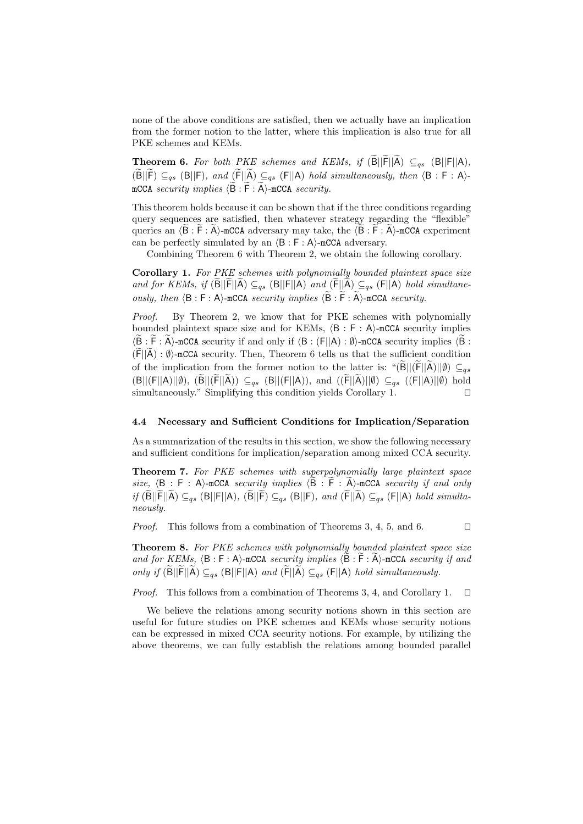none of the above conditions are satisfied, then we actually have an implication from the former notion to the latter, where this implication is also true for all PKE schemes and KEMs.

**Theorem 6.** For both PKE schemes and KEMs, if  $(\widetilde{B}||\widetilde{F}||\widetilde{A}) \subseteq_{qs} (B||F||A)$ ,  $(\widetilde{B}||\widetilde{F}) \subseteq_{qs} (\widetilde{B}||F)$ *, and*  $(\widetilde{F}||\widetilde{A}) \subseteq_{qs} (\widetilde{F}||A)$  *hold simultaneously, then*  $\langle B : F : A \rangle$  $mCCA$  *security implies*  $\langle \widetilde{B} : \widetilde{F} : \widetilde{A} \rangle$ -mCCA *security.* 

This theorem holds because it can be shown that if the three conditions regarding query sequences are satisfied, then whatever strategy regarding the "flexible" queries an  $\langle \tilde{B} : \tilde{F} : \tilde{A} \rangle$ -mCCA adversary may take, the  $\langle \tilde{B} : \tilde{F} : \tilde{A} \rangle$ -mCCA experiment can be perfectly simulated by an *⟨*B : F : A*⟩*-mCCA adversary.

Combining Theorem 6 with Theorem 2, we obtain the following corollary.

**Corollary 1.** *For PKE schemes with polynomially bounded plaintext space size and for KEMs, if*  $(\tilde{B}||\tilde{F}||\tilde{A}) \subseteq_{qs} (\tilde{B}||F||A)$  *and*  $(\tilde{F}||\tilde{A}) \subseteq_{qs} (\tilde{F}||A)$  *hold simultaneously, then*  $\langle B : F : A \rangle$ -mCCA *security implies*  $\langle \widetilde{B} : \widetilde{F} : \widetilde{A} \rangle$ -mCCA *security.* 

*Proof.* By Theorem 2, we know that for PKE schemes with polynomially bounded plaintext space size and for KEMs, *⟨*B : F : A*⟩*-mCCA security implies  $\langle \widetilde{B} : \widetilde{F} : \widetilde{A} \rangle$ *-mCCA security if and only if*  $\langle B : (F||A) : \emptyset \rangle$ *-mCCA security implies*  $\langle \widetilde{B} :$  $(F||A) : \emptyset$  mCCA security. Then, Theorem 6 tells us that the sufficient condition of the implication from the former notion to the latter is: " $(\tilde{\mathsf{B}}||(\tilde{\mathsf{F}}||\tilde{\mathsf{A}})||\emptyset) \subseteq_{as}$  $|\mathcal{B}| |(\mathsf{F}||\mathsf{A})||\emptyset$ ,  $(\widetilde{\mathsf{B}}||(\widetilde{\mathsf{F}}||\widetilde{\mathsf{A}})) \subseteq_{qs} (\mathsf{B}||(\mathsf{F}||\mathsf{A})),$  and  $((\widetilde{\mathsf{F}}||\widetilde{\mathsf{A}})||\emptyset) \subseteq_{qs} ((\mathsf{F}||\mathsf{A})||\emptyset)$  hold simultaneously." Simplifying this condition vields Corollary 1. simultaneously." Simplifying this condition yields Corollary 1. *⊓⊔*

#### **4.4 Necessary and Sufficient Conditions for Implication/Separation**

As a summarization of the results in this section, we show the following necessary and sufficient conditions for implication/separation among mixed CCA security.

**Theorem 7.** *For PKE schemes with superpolynomially large plaintext space size,*  $\langle B : F : A \rangle$ -mCCA *security implies*  $\langle \tilde{B} : \tilde{F} : \tilde{A} \rangle$ -mCCA *security if and only*  $if$  ( $\widetilde{B}$ || $\widetilde{F}$ || $\widetilde{A}$ )  $\subseteq$ <sub>*qs*</sub> (B|| $F$ || $A$ )*,* ( $\widetilde{B}$ || $\widetilde{F}$ )  $\subseteq$ <sub>*qs*</sub> ( $\widetilde{B}$ || $\widetilde{A}$ )  $\subseteq$ <sub>*qs*</sub> ( $F$ || $A$ ) *hold simultaneously.*

*Proof.* This follows from a combination of Theorems 3, 4, 5, and 6. □

**Theorem 8.** *For PKE schemes with polynomially bounded plaintext space size and for KEMs,*  $\langle B : F : A \rangle$ -mCCA *security implies*  $\langle B : F : A \rangle$ -mCCA *security if and only if*  $(\widetilde{B}||\widetilde{F}||\widetilde{A}) \subseteq_{qs} (B||F||A)$  *and*  $(\widetilde{F}||\widetilde{A}) \subseteq_{qs} (F||A)$  *hold simultaneously.* 

*Proof.* This follows from a combination of Theorems 3, 4, and Corollary 1. <del>□</del>

We believe the relations among security notions shown in this section are useful for future studies on PKE schemes and KEMs whose security notions can be expressed in mixed CCA security notions. For example, by utilizing the above theorems, we can fully establish the relations among bounded parallel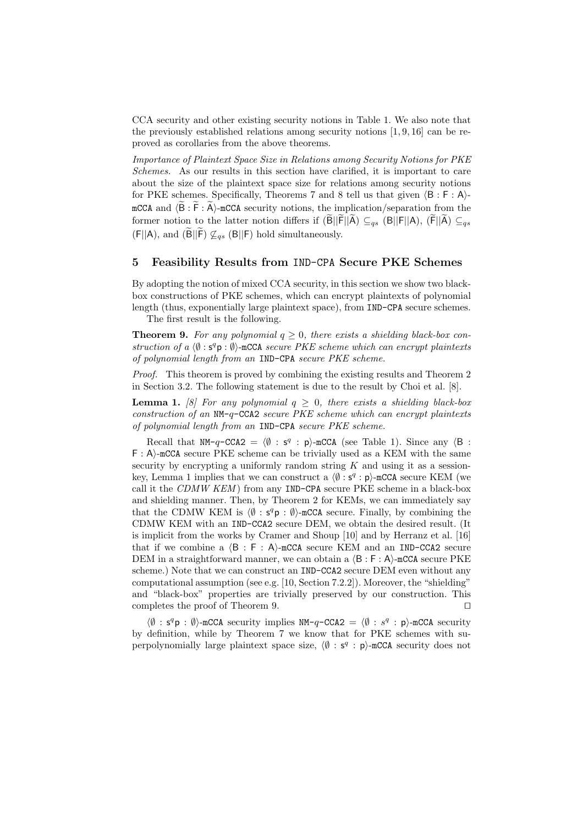CCA security and other existing security notions in Table 1. We also note that the previously established relations among security notions  $[1, 9, 16]$  can be reproved as corollaries from the above theorems.

*Importance of Plaintext Space Size in Relations among Security Notions for PKE Schemes.* As our results in this section have clarified, it is important to care about the size of the plaintext space size for relations among security notions for PKE schemes. Specifically, Theorems 7 and 8 tell us that given *⟨*B : F : A*⟩* mCCA and  $\langle \widetilde{B} : \widetilde{F} : \widetilde{A} \rangle$ -mCCA security notions, the implication/separation from the former notion to the latter notion differs if  $(\widetilde{B}||\widetilde{F}||\widetilde{A}) \subseteq_{gs} (B||F||A), (\widetilde{F}||\widetilde{A}) \subseteq_{gs}$  $(F||A)$ , and  $(\tilde{B}||\tilde{F}) \nsubseteq_{qs} (B||F)$  hold simultaneously.

## **5 Feasibility Results from** IND-CPA **Secure PKE Schemes**

By adopting the notion of mixed CCA security, in this section we show two blackbox constructions of PKE schemes, which can encrypt plaintexts of polynomial length (thus, exponentially large plaintext space), from IND-CPA secure schemes. The first result is the following.

**Theorem 9.** For any polynomial  $q \geq 0$ , there exists a shielding black-box con*struction of a ⟨∅* : s *<sup>q</sup>*p : *∅⟩*-mCCA *secure PKE scheme which can encrypt plaintexts of polynomial length from an* IND-CPA *secure PKE scheme.*

*Proof.* This theorem is proved by combining the existing results and Theorem 2 in Section 3.2. The following statement is due to the result by Choi et al. [8].

**Lemma 1.** *[8] For any polynomial*  $q \geq 0$ *, there exists a shielding black-box construction of an* NM-*q*-CCA2 *secure PKE scheme which can encrypt plaintexts of polynomial length from an* IND-CPA *secure PKE scheme.*

Recall that  $NM-q$ -CCA2 =  $\langle \emptyset : s^q : p \rangle$ -mCCA (see Table 1). Since any  $\langle B : s^q : s^q : p \rangle$ F : A*⟩*-mCCA secure PKE scheme can be trivially used as a KEM with the same security by encrypting a uniformly random string *K* and using it as a sessionkey, Lemma 1 implies that we can construct a  $\langle \emptyset : s^q : p \rangle$ -mCCA secure KEM (we call it the *CDMW KEM* ) from any IND-CPA secure PKE scheme in a black-box and shielding manner. Then, by Theorem 2 for KEMs, we can immediately say that the CDMW KEM is  $\langle \emptyset : s^q \mathsf{p} : \emptyset \rangle$ -mCCA secure. Finally, by combining the CDMW KEM with an IND-CCA2 secure DEM, we obtain the desired result. (It is implicit from the works by Cramer and Shoup [10] and by Herranz et al. [16] that if we combine a *⟨*B : F : A*⟩*-mCCA secure KEM and an IND-CCA2 secure DEM in a straightforward manner, we can obtain a  $\langle B : F : A \rangle$ -mCCA secure PKE scheme.) Note that we can construct an IND-CCA2 secure DEM even without any computational assumption (see e.g. [10, Section 7.2.2]). Moreover, the "shielding" and "black-box" properties are trivially preserved by our construction. This completes the proof of Theorem 9. *⊓⊔*

*⟨∅* : s *<sup>q</sup>*p : *∅⟩*-mCCA security implies NM-*q*-CCA2 = *⟨∅* : *s q* : p*⟩*-mCCA security by definition, while by Theorem 7 we know that for PKE schemes with superpolynomially large plaintext space size,  $\langle \emptyset : s^q : p \rangle$ -mCCA security does not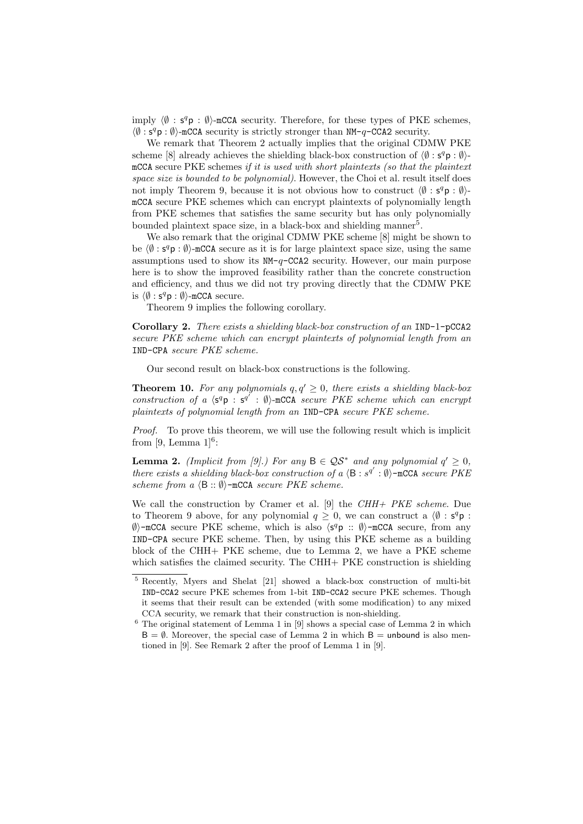imply *⟨∅* : s *<sup>q</sup>*p : *∅⟩*-mCCA security. Therefore, for these types of PKE schemes, *⟨∅* : s *<sup>q</sup>*p : *∅⟩*-mCCA security is strictly stronger than NM-*q*-CCA2 security.

We remark that Theorem 2 actually implies that the original CDMW PKE scheme [8] already achieves the shielding black-box construction of  $\langle \emptyset : s^q \mathsf{p} : \emptyset \rangle$ mCCA secure PKE schemes *if it is used with short plaintexts (so that the plaintext space size is bounded to be polynomial)*. However, the Choi et al. result itself does not imply Theorem 9, because it is not obvious how to construct  $\langle \emptyset : s^q \mathsf{p} : \emptyset \rangle$ mCCA secure PKE schemes which can encrypt plaintexts of polynomially length from PKE schemes that satisfies the same security but has only polynomially bounded plaintext space size, in a black-box and shielding manner<sup>5</sup>.

We also remark that the original CDMW PKE scheme [8] might be shown to be  $\langle \emptyset : s^q \rho : \emptyset \rangle$ -mCCA secure as it is for large plaintext space size, using the same assumptions used to show its NM-*q*-CCA2 security. However, our main purpose here is to show the improved feasibility rather than the concrete construction and efficiency, and thus we did not try proving directly that the CDMW PKE is *⟨∅* : s *<sup>q</sup>*p : *∅⟩*-mCCA secure.

Theorem 9 implies the following corollary.

**Corollary 2.** *There exists a shielding black-box construction of an* IND-1-pCCA2 *secure PKE scheme which can encrypt plaintexts of polynomial length from an* IND-CPA *secure PKE scheme.*

Our second result on black-box constructions is the following.

**Theorem 10.** For any polynomials  $q, q' \geq 0$ , there exists a shielding black-box *construction of a*  $\langle s^q p : s^{q'} : \emptyset \rangle$ -mCCA *secure PKE scheme which can encrypt plaintexts of polynomial length from an* IND-CPA *secure PKE scheme.*

*Proof.* To prove this theorem, we will use the following result which is implicit from  $[9, \text{ Lemma } 1]^6$ :

**Lemma 2.** *(Implicit from [9].) For any*  $B \in \mathcal{QS}^*$  *and any polynomial*  $q' \geq 0$ *, there exists a shielding black-box construction of a*  $\langle B : s^q' : \emptyset \rangle$ -mCCA *secure PKE scheme from a ⟨*B :: *∅⟩*-mCCA *secure PKE scheme.*

We call the construction by Cramer et al. [9] the *CHH+ PKE scheme*. Due to Theorem 9 above, for any polynomial  $q \geq 0$ , we can construct a  $\langle \emptyset : s^q \rho :$ *∅⟩*-mCCA secure PKE scheme, which is also *⟨*s *<sup>q</sup>*p :: *∅⟩*-mCCA secure, from any IND-CPA secure PKE scheme. Then, by using this PKE scheme as a building block of the CHH+ PKE scheme, due to Lemma 2, we have a PKE scheme which satisfies the claimed security. The CHH+ PKE construction is shielding

<sup>5</sup> Recently, Myers and Shelat [21] showed a black-box construction of multi-bit IND-CCA2 secure PKE schemes from 1-bit IND-CCA2 secure PKE schemes. Though it seems that their result can be extended (with some modification) to any mixed CCA security, we remark that their construction is non-shielding.

 $^6$  The original statement of Lemma 1 in  $\left[ 9\right]$  shows a special case of Lemma 2 in which  $B = \emptyset$ . Moreover, the special case of Lemma 2 in which  $B =$  unbound is also mentioned in [9]. See Remark 2 after the proof of Lemma 1 in [9].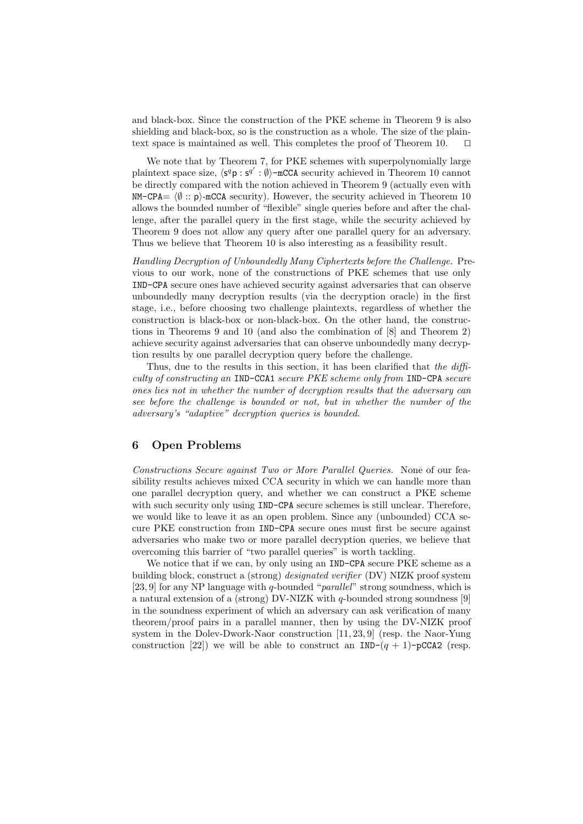and black-box. Since the construction of the PKE scheme in Theorem 9 is also shielding and black-box, so is the construction as a whole. The size of the plaintext space is maintained as well. This completes the proof of Theorem 10. *⊓⊔*

We note that by Theorem 7, for PKE schemes with superpolynomially large plaintext space size,  $\langle s^q p : s^{q'} : \emptyset \rangle$ -mCCA security achieved in Theorem 10 cannot be directly compared with the notion achieved in Theorem 9 (actually even with NM-CPA= *⟨∅* :: p*⟩*-mCCA security). However, the security achieved in Theorem 10 allows the bounded number of "flexible" single queries before and after the challenge, after the parallel query in the first stage, while the security achieved by Theorem 9 does not allow any query after one parallel query for an adversary. Thus we believe that Theorem 10 is also interesting as a feasibility result.

*Handling Decryption of Unboundedly Many Ciphertexts before the Challenge.* Previous to our work, none of the constructions of PKE schemes that use only IND-CPA secure ones have achieved security against adversaries that can observe unboundedly many decryption results (via the decryption oracle) in the first stage, i.e., before choosing two challenge plaintexts, regardless of whether the construction is black-box or non-black-box. On the other hand, the constructions in Theorems 9 and 10 (and also the combination of [8] and Theorem 2) achieve security against adversaries that can observe unboundedly many decryption results by one parallel decryption query before the challenge.

Thus, due to the results in this section, it has been clarified that *the difficulty of constructing an* IND-CCA1 *secure PKE scheme only from* IND-CPA *secure ones lies not in whether the number of decryption results that the adversary can see before the challenge is bounded or not, but in whether the number of the adversary's "adaptive" decryption queries is bounded*.

# **6 Open Problems**

*Constructions Secure against Two or More Parallel Queries.* None of our feasibility results achieves mixed CCA security in which we can handle more than one parallel decryption query, and whether we can construct a PKE scheme with such security only using IND-CPA secure schemes is still unclear. Therefore, we would like to leave it as an open problem. Since any (unbounded) CCA secure PKE construction from IND-CPA secure ones must first be secure against adversaries who make two or more parallel decryption queries, we believe that overcoming this barrier of "two parallel queries" is worth tackling.

We notice that if we can, by only using an **IND-CPA** secure PKE scheme as a building block, construct a (strong) *designated verifier* (DV) NIZK proof system [23, 9] for any NP language with *q*-bounded "*parallel*" strong soundness, which is a natural extension of a (strong) DV-NIZK with *q*-bounded strong soundness [9] in the soundness experiment of which an adversary can ask verification of many theorem/proof pairs in a parallel manner, then by using the DV-NIZK proof system in the Dolev-Dwork-Naor construction [11, 23, 9] (resp. the Naor-Yung construction [22]) we will be able to construct an IND- $(q + 1)$ -pCCA2 (resp.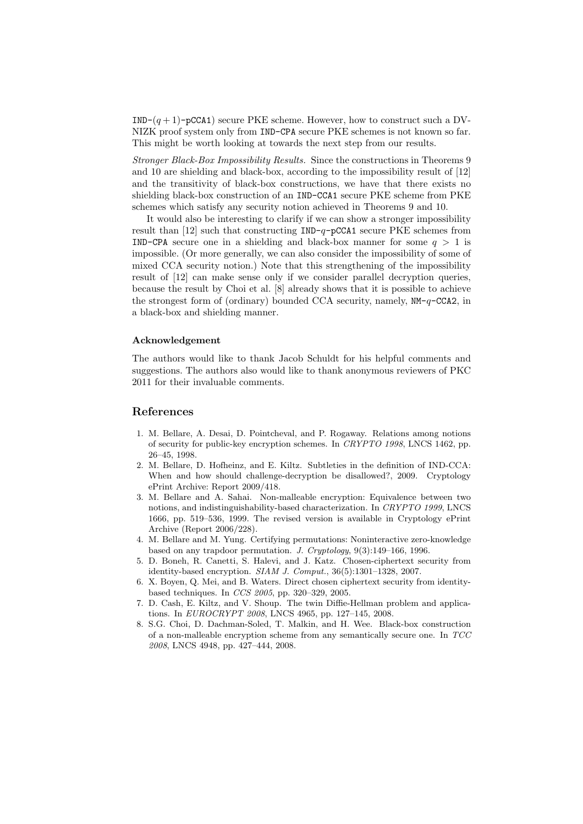$IND-(q+1)-pCCA1)$  secure PKE scheme. However, how to construct such a DV-NIZK proof system only from IND-CPA secure PKE schemes is not known so far. This might be worth looking at towards the next step from our results.

*Stronger Black-Box Impossibility Results.* Since the constructions in Theorems 9 and 10 are shielding and black-box, according to the impossibility result of [12] and the transitivity of black-box constructions, we have that there exists no shielding black-box construction of an IND-CCA1 secure PKE scheme from PKE schemes which satisfy any security notion achieved in Theorems 9 and 10.

It would also be interesting to clarify if we can show a stronger impossibility result than [12] such that constructing IND-*q*-pCCA1 secure PKE schemes from IND-CPA secure one in a shielding and black-box manner for some  $q > 1$  is impossible. (Or more generally, we can also consider the impossibility of some of mixed CCA security notion.) Note that this strengthening of the impossibility result of [12] can make sense only if we consider parallel decryption queries, because the result by Choi et al. [8] already shows that it is possible to achieve the strongest form of (ordinary) bounded CCA security, namely, NM-*q*-CCA2, in a black-box and shielding manner.

#### **Acknowledgement**

The authors would like to thank Jacob Schuldt for his helpful comments and suggestions. The authors also would like to thank anonymous reviewers of PKC 2011 for their invaluable comments.

## **References**

- 1. M. Bellare, A. Desai, D. Pointcheval, and P. Rogaway. Relations among notions of security for public-key encryption schemes. In *CRYPTO 1998*, LNCS 1462, pp. 26–45, 1998.
- 2. M. Bellare, D. Hofheinz, and E. Kiltz. Subtleties in the definition of IND-CCA: When and how should challenge-decryption be disallowed?, 2009. Cryptology ePrint Archive: Report 2009/418.
- 3. M. Bellare and A. Sahai. Non-malleable encryption: Equivalence between two notions, and indistinguishability-based characterization. In *CRYPTO 1999*, LNCS 1666, pp. 519–536, 1999. The revised version is available in Cryptology ePrint Archive (Report 2006/228).
- 4. M. Bellare and M. Yung. Certifying permutations: Noninteractive zero-knowledge based on any trapdoor permutation. *J. Cryptology*, 9(3):149–166, 1996.
- 5. D. Boneh, R. Canetti, S. Halevi, and J. Katz. Chosen-ciphertext security from identity-based encryption. *SIAM J. Comput.*, 36(5):1301–1328, 2007.
- 6. X. Boyen, Q. Mei, and B. Waters. Direct chosen ciphertext security from identitybased techniques. In *CCS 2005*, pp. 320–329, 2005.
- 7. D. Cash, E. Kiltz, and V. Shoup. The twin Diffie-Hellman problem and applications. In *EUROCRYPT 2008*, LNCS 4965, pp. 127–145, 2008.
- 8. S.G. Choi, D. Dachman-Soled, T. Malkin, and H. Wee. Black-box construction of a non-malleable encryption scheme from any semantically secure one. In *TCC 2008*, LNCS 4948, pp. 427–444, 2008.